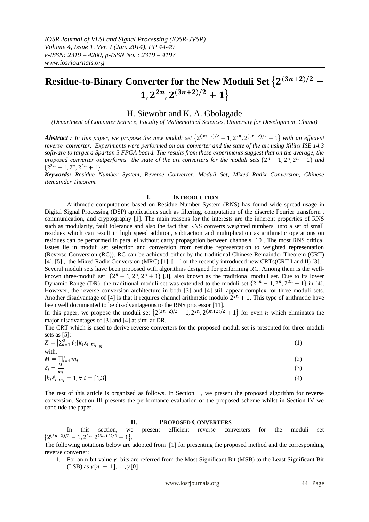# **Residue-to-Binary Converter for the New Moduli Set**  $\{2^{(3n+2)/2}-1\}$  $\{1,2^{2n},2^{(3n+2)/2}+1\}$

# H. Siewobr and K. A. Gbolagade

*(Department of Computer Science, Faculty of Mathematical Sciences, University for Development, Ghana)*

**Abstract** : In this paper, we propose the new moduli set  $\{2^{(3n+2)/2} - 1, 2^{2n}, 2^{(3n+2)/2} + 1\}$  with an efficient *reverse converter. Experiments were performed on our converter and the state of the art using Xilinx ISE 14.3 software to target a Spartan 3 FPGA board. The results from these experiments suggest that on the average, the proposed converter outperforms the state of the art converters for the moduli sets*  $\{2^n - 1, 2^n, 2^n + 1\}$  and  $\{2^{2n} - 1, 2^n, 2^{2n} + 1\}.$ 

*Keywords: Residue Number System, Reverse Converter, Moduli Set, Mixed Radix Conversion, Chinese Remainder Theorem.*

### **I. INTRODUCTION**

Arithmetic computations based on Residue Number System (RNS) has found wide spread usage in Digital Signal Processing (DSP) applications such as filtering, computation of the discrete Fourier transform , communication, and cryptography [1]. The main reasons for the interests are the inherent properties of RNS such as modularity, fault tolerance and also the fact that RNS converts weighted numbers into a set of small residues which can result in high speed addition, subtraction and multiplication as arithmetic operations on residues can be performed in parallel without carry propagation between channels [10]. The most RNS critical issues lie in moduli set selection and conversion from residue representation to weighted representation (Reverse Conversion (RC)). RC can be achieved either by the traditional Chinese Remainder Theorem (CRT) [4], [5] , the Mixed Radix Conversion (MRC) [1], [11] or the recently introduced new CRTs(CRT I and II) [3]. Several moduli sets have been proposed with algorithms designed for performing RC. Among them is the well-

known three-moduli set  $\{2^n - 1, 2^n, 2^n + 1\}$  [3], also known as the traditional moduli set. Due to its lower Dynamic Range (DR), the traditional moduli set was extended to the moduli set  $\{2^{2n} - 1, 2^n, 2^{2n} + 1\}$  in [4]. However, the reverse conversion architecture in both [3] and [4] still appear complex for three-moduli sets. Another disadvantage of [4] is that it requires channel arithmetic modulo  $2^{2n} + 1$ . This type of arithmetic have been well documented to be disadvantageous to the RNS processor [11].

In this paper, we propose the moduli set  $\{2^{(3n+2)/2} - 1, 2^{2n}, 2^{(3n+2)/2} + 1\}$  for even *n* which eliminates the major disadvantages of [3] and [4] at similar DR.

The CRT which is used to derive reverse converters for the proposed moduli set is presented for three moduli sets as [5]:

| $X = \left  \sum_{i=1}^{3} \ell_i  k_i x_i _{m_i} \right _M$ | Œ   |
|--------------------------------------------------------------|-----|
| with,                                                        |     |
| $M = \prod_{i=1}^{3} m_i$                                    | (2, |
| $\ell_i = \frac{M}{m_i}$<br>$m_i$                            | (3) |
| $ k_i \ell_i _{m_i} = 1, \forall i = [1,3]$                  | (4) |

The rest of this article is organized as follows. In Section II, we present the proposed algorithm for reverse conversion. Section III presents the performance evaluation of the proposed scheme whilst in Section IV we conclude the paper.

#### **II. PROPOSED CONVERTERS**

In this section, we present efficient reverse converters for the moduli set  ${2^{(3n+2)/2}-1,2^{2n},2^{(3n+2)/2}+1}.$ 

The following notations below are adopted from [1] for presenting the proposed method and the corresponding reverse converter:

1. For an n-bit value  $\gamma$ , bits are referred from the Most Significant Bit (MSB) to the Least Significant Bit (LSB) as  $\gamma[n-1], \ldots, \gamma[0].$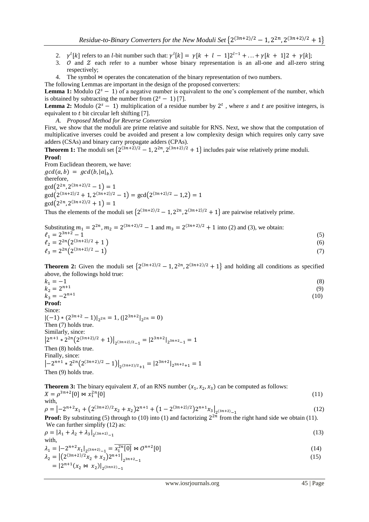- 2.  $\gamma^l[k]$  refers to an *l*-bit number such that:  $\gamma^l[k] = \gamma[k+l-1]2^{l-1} + ... + \gamma[k+1]2 + \gamma$
- 3.  $\sigma$  and  $\sigma$  each refer to a number whose binary representation is an all-one and all-zero string respectively;

4. The symbol  $\infty$  operates the concatenation of the binary representation of two numbers.

The following Lemmas are important in the design of the proposed converters:

**Lemma 1:** Modulo  $(2<sup>s</sup> - 1)$  of a negative number is equivalent to the one's complement of the number, which is obtained by subtracting the number from  $(2<sup>s</sup> - 1)$  [7].

**Lemma 2:** Modulo  $(2<sup>s</sup> - 1)$  multiplication of a residue number by  $2<sup>t</sup>$ , where s and t are positive integers, is equivalent to  $t$  bit circular left shifting [7].

*A. Proposed Method for Reverse Conversion*

First, we show that the moduli are prime relative and suitable for RNS. Next, we show that the computation of multiplicative inverses could be avoided and present a low complexity design which requires only carry save adders (CSAs) and binary carry propagate adders (CPAs).

**Theorem 1:** The moduli set  $\{2^{(3n+2)/2} - 1, 2^{2n}, 2^{(3n+2)/2} + 1\}$  includes pair wise relatively prime moduli. **Proof:**

From Euclidean theorem, we have:  $gcd(a, b) = gcd(b, |a|_b)$ , therefore,  $\gcd(2^{2n}, 2^{(3n+2)/2} - 1) =$  $\gcd(2^{(3n+2)/2}+1, 2^{(3n+2)/2}-1) = \gcd(2^{(3n+2)/2}-1, 2) =$  $\gcd(2^{2n}, 2^{(3n+2)/2}+1) =$ 

Thus the elements of the moduli set  $\{2^{(3n+2)/2} - 1, 2^{2n}, 2^{(3n+2)/2} + 1\}$  are pairwise relatively prime.

| Substituting $m_1 = 2^{2n}$ , $m_2 = 2^{(3n+2)/2} - 1$ and $m_3 = 2^{(3n+2)/2} + 1$ into (2) and (3), we obtain: |     |
|------------------------------------------------------------------------------------------------------------------|-----|
| $\ell_1 = 2^{3n+2} - 1$                                                                                          | (5) |
| $\ell_2 = 2^{2n} (2^{(3n+2)/2} + 1)$                                                                             | (6) |
| $\ell_3 = 2^{2n} (2^{(3n+2)/2} - 1)$                                                                             |     |

**Theorem 2:** Given the moduli set  $\{2^{(3n+2)/2} - 1, 2^{2n}, 2^{(3n+2)/2} + 1\}$  and holding all conditions as specified above, the followings hold true:

| $k_1 = -1$                                                        | (8)  |
|-------------------------------------------------------------------|------|
| $k_2 = 2^{n+1}$                                                   | (9)  |
| $k_3 = -2^{n+1}$                                                  | (10) |
| Proof:                                                            |      |
| Since:                                                            |      |
| $ (-1) * (2^{3n+2} - 1) _{2^{2n}} = 1, ( 2^{3n+2} _{2^{2n}} = 0)$ |      |
| Then (7) holds true.                                              |      |
| Similarly, since:                                                 |      |
| $\left[\rho_{n+1} - \rho_{n}(2n+2)/2 - 1\right]$<br>$102n+21$     |      |

 $\left|2^{n+1} * 2^{2n} \left(2^{(3n+2)/2} + 1\right)\right|_{2^{(3n+2)/2} - 1} = \left|2^{3n+2}\right|_{2^3}$ Then (8) holds true. Finally, since:  $\left|-2^{n+1} * 2^{2n} \left(2^{(3n+2)/2} - 1\right)\right|_{2^{(3n+2)/2}+1} = \left|2^{3n+2}\right|_{2^3}$ Then (9) holds true.

**Theorem 3:** The binary equivalent X, of an RNS number  $(x_1, x_2, x_3)$  can be computed as follows:  $X = \rho^{3n+2}[0] \bowtie x_1^2$  $[0]$  (11) with,  $(2n+2)/2$ 

$$
\rho = \left| -2^{n+2}x_1 + \left( 2^{(3n+2)/2}x_2 + x_2 \right)2^{n+1} + \left( 1 - 2^{(3n+2)/2} \right)2^{n+1}x_3 \right|_{2^{(3n+2)} - 1} \tag{12}
$$
\nProof: By substituting (5) through to (10) into (1) and factorizing 220 from the right hand side, we obtain (11).

**Proof:** By substituting (5) through to (10) into (1) and factorizing  $2^{2n}$  from the right hand side we obtain (11). We can further simplify (12) as:

 $\rho = |\lambda_1 + \lambda_2 + \lambda_3|_{2}$  (13) with,

$$
\lambda_1 = \left| -2^{n+2} x_1 \right|_{2^{(3n+2)} - 1} = \overline{x_1^{2n} [0]} \bowtie \mathcal{O}^{n+2} [0] \n\lambda_2 = \left| \left( 2^{(3n+2)/2} x_2 + x_2 \right) 2^{n+1} \right|_{2^{3n+2} - 1}
$$
\n(15)

$$
= |2^{n+1}(x_2 \bowtie x_2)|_{2^{(3n+2)}-1}
$$
\n
$$
= |2^{n+1}(x_2 \bowtie x_2)|_{2^{(3n+2)}-1}
$$
\n(12)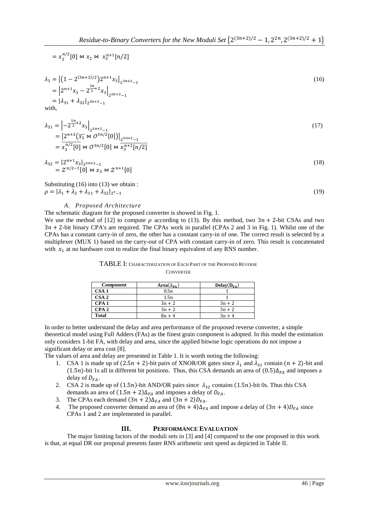$$
= x_2^{n/2}[0] \bowtie x_2 \bowtie x_2^{n+1}[n/2]
$$

$$
\lambda_3 = \left| \left( 1 - 2^{(3n+2)/2} \right) 2^{n+1} x_3 \right|_{2^{3n+2}-1}
$$
\n
$$
= \left| 2^{n+1} x_3 - 2^{\frac{5n}{2}+2} x_3 \right|_{2^{3n+2}-1}
$$
\n
$$
= \left| \lambda_{31} + \lambda_{32} \right|_{2^{3n+2}-1}
$$
\nwith

with,

$$
\lambda_{31} = \left| -2^{\frac{5n}{2}+2} x_3 \right|_{2^{3n+2}-1}
$$
\n
$$
= \left| 2^{n+2} \left( \overline{x_3} \bowtie \mathcal{O}^{3n/2}[0] \right) \right|_{2^{3n+2}-1}
$$
\n
$$
= \overline{x_3^{n/2}[0]} \bowtie \mathcal{O}^{3n/2}[0] \bowtie \overline{x_3^{n+2}[n/2]}
$$
\n(17)

$$
\lambda_{32} = |2^{n+1} x_3|_{2^{3n+2}-1} \n= \mathcal{Z}^{n/2-1}[0] \bowtie x_3 \bowtie \mathcal{Z}^{n+1}[0]
$$
\n(18)

## Substituting (16) into (13) we obtain :  $\rho = |\lambda_1 + \lambda_2 + \lambda_{31} + \lambda_{32}|_2$

(19)

## *A. Proposed Architecture*

The schematic diagram for the proposed converter is showed in Fig. 1.

We use the method of [12] to compute  $\rho$  according to (13). By this method, two  $3n + 2$ -bit CSAs and two  $3n + 2$ -bit binary CPA's are required. The CPAs work in parallel (CPAs 2 and 3 in Fig. 1). Whilst one of the CPAs has a constant carry-in of zero, the other has a constant carry-in of one. The correct result is selected by a multiplexer (MUX 1) based on the carry-out of CPA with constant carry-in of zero. This result is concatenated with  $x_1$  at no hardware cost to realize the final binary equivalent of any RNS number.

| <b>Component</b> | Area $(\Delta_{FA})$ | $Delay(D_{FA})$ |
|------------------|----------------------|-----------------|
| CSA <sub>1</sub> | 0.5n                 |                 |
| CSA <sub>2</sub> | 1.5n                 |                 |
| CPA <sub>1</sub> | $3n + 2$             | $3n + 2$        |
| CPA2             | $3n + 2$             | $3n + 2$        |
| <b>Total</b>     | $8n + 4$             | $3n + 4$        |

### TABLE I: CHARACTERIZATION OF EACH PART OF THE PROPOSED REVERSE **CONVERTER**

In order to better understand the delay and area performance of the proposed reverse converter, a simple theoretical model using Full Adders (FAs) as the finest grain component is adopted. In this model the estimation only considers 1-bit FA, with delay and area, since the applied bitwise logic operations do not impose a significant delay or area cost [8].

The values of area and delay are presented in Table 1. It is worth noting the following:

- 1. CSA 1 is made up of  $(2.5n + 2)$ -bit pairs of XNOR/OR gates since  $\lambda_1$  and  $\lambda_{31}$  contain  $(n + 2)$ -bit and  $(1.5n)$ -bit 1s all in different bit positions. Thus, this CSA demands an area of  $(0.5)\Delta_{FA}$  and imposes a delay of  $D_{FA}$ .
- 2. CSA 2 is made up of (1.5n)-bit AND/OR pairs since  $\lambda_{32}$  contains (1.5n)-bit 0s. Thus this CSA demands an area of  $(1.5n + 2)\Delta_{FA}$  and imposes a delay of  $D_{FA}$ .
- 3. The CPAs each demand  $(3n + 2)\Delta_{FA}$  and  $(3n + 2)D_{FA}$ .
- 4. The proposed converter demand an area of  $(8n + 4)\Delta_{FA}$  and impose a delay of  $(3n + 4)D_{FA}$  since CPAs 1 and 2 are implemented in parallel.

## **III. PERFORMANCE EVALUATION**

The major limiting factors of the moduli sets in [3] and [4] compared to the one proposed in this work is that, at equal DR our proposal presents faster RNS arithmetic unit speed as depicted in Table II.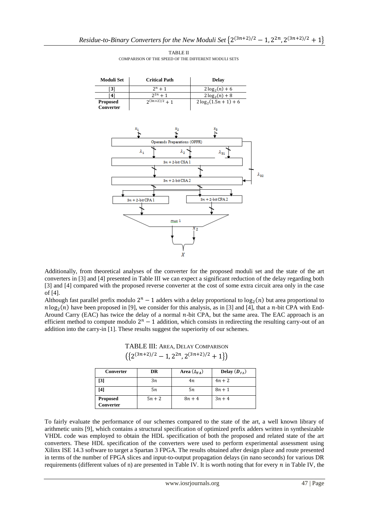

TABLE II COMPARISON OF THE SPEED OF THE DIFFERENT MODULI SETS

Additionally, from theoretical analyses of the converter for the proposed moduli set and the state of the art converters in [3] and [4] presented in Table III we can expect a significant reduction of the delay regarding both [3] and [4] compared with the proposed reverse converter at the cost of some extra circuit area only in the case of [4].

Although fast parallel prefix modulo  $2^n - 1$  adders with a delay proportional to  $\log_2(n)$  but area proportional to  $n \log_2(n)$  have been proposed in [9], we consider for this analysis, as in [3] and [4], that a *n*-bit CPA with End-Around Carry (EAC) has twice the delay of a normal  $n$ -bit CPA, but the same area. The EAC approach is an efficient method to compute modulo  $2^n - 1$  addition, which consists in redirecting the resulting carry-out of an addition into the carry-in [1]. These results suggest the superiority of our schemes.

| TABLE III: AREA, DELAY COMPARISON |  |
|-----------------------------------|--|
|-----------------------------------|--|

 $({2^{(3n+2)/2}-1,2^{2n},2^{(3n+2)/2}+1})$ 

| <b>Converter</b>  | DR     | Area $(\Delta_{FA})$ | Delay $(D_{FA})$ |  |
|-------------------|--------|----------------------|------------------|--|
| $\lceil 3 \rceil$ | 3n     | 4n                   | $4n + 2$         |  |
| [4]               | 5п     | 5п                   | $8n + 1$         |  |
| <b>Proposed</b>   | $5n+2$ | $8n+4$               | $3n+4$           |  |
| Converter         |        |                      |                  |  |

To fairly evaluate the performance of our schemes compared to the state of the art, a well known library of arithmetic units [9], which contains a structural specification of optimized prefix adders written in synthesizable VHDL code was employed to obtain the HDL specification of both the proposed and related state of the art converters. These HDL specification of the converters were used to perform experimental assessment using Xilinx ISE 14.3 software to target a Spartan 3 FPGA. The results obtained after design place and route presented in terms of the number of FPGA slices and input-to-output propagation delays (in nano seconds) for various DR requirements (different values of n) are presented in Table IV. It is worth noting that for every  $n$  in Table IV, the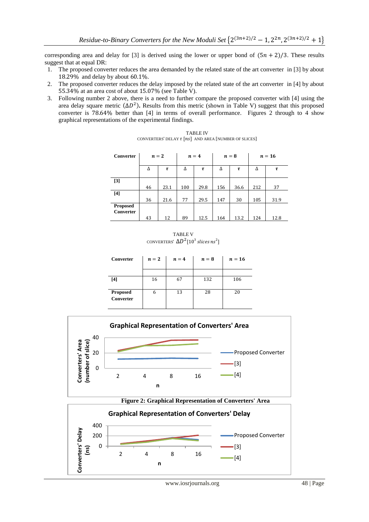corresponding area and delay for [3] is derived using the lower or upper bond of  $(5n + 2)/3$ . These results suggest that at equal DR:

- 1. The proposed converter reduces the area demanded by the related state of the art converter in [3] by about 18.29% and delay by about  $60.1\%$ .
- 2. The proposed converter reduces the delay imposed by the related state of the art converter in [4] by about 55.34% at an area cost of about 15.07% (see Table V).
- 3. Following number 2 above, there is a need to further compare the proposed converter with [4] using the area delay square metric  $(\Delta D^2)$ . Results from this metric (shown in Table V) suggest that this proposed converter is  $78.64\%$  better than [4] in terms of overall performance. Figures 2 through to 4 show graphical representations of the experimental findings.

| <b>TABLE IV</b>                                           |
|-----------------------------------------------------------|
| CONVERTERS' DELAY $\tau$ [ns] AND AREA [NUMBER OF SLICES] |

| <b>Converter</b> |    | $n=2$ | $n = 4$ |      | $n=8$ |      | $n=16$ |      |
|------------------|----|-------|---------|------|-------|------|--------|------|
|                  | Δ  | τ     | Δ       | τ    | Δ     | τ    | Δ      | τ    |
| $[3]$            |    |       |         |      |       |      |        |      |
|                  | 46 | 23.1  | 100     | 29.8 | 156   | 36.6 | 212    | 37   |
| $[4]$            |    |       |         |      |       |      |        |      |
|                  | 36 | 21.6  | 77      | 29.5 | 147   | 30   | 105    | 31.9 |
| <b>Proposed</b>  |    |       |         |      |       |      |        |      |
| <b>Converter</b> |    |       |         |      |       |      |        |      |
|                  | 43 | 12    | 89      | 12.5 | 164   | 13.2 | 124    | 12.8 |

TABLE V CONVERTERS'  $\Delta D^2$  [10<sup>3</sup> slices ns<sup>2</sup>]

| Converter                    | $n=2$ | $n=4$ | $n=8$ | $n=16$ |
|------------------------------|-------|-------|-------|--------|
|                              |       |       |       |        |
| [4]                          | 16    | 67    | 132   | 106    |
| <b>Proposed</b><br>Converter | 6     | 13    | 28    | 20     |